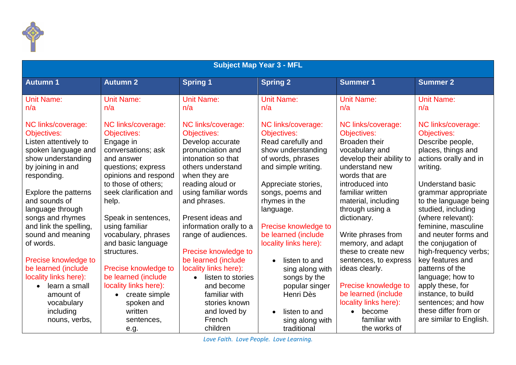

| <b>Subject Map Year 3 - MFL</b>                                                                                                                    |                                                                                                                                                     |                                                                                                                                                                                              |                                                                                                                                               |                                                                                                                                                                                     |                                                                                                                                                                                                     |  |  |  |
|----------------------------------------------------------------------------------------------------------------------------------------------------|-----------------------------------------------------------------------------------------------------------------------------------------------------|----------------------------------------------------------------------------------------------------------------------------------------------------------------------------------------------|-----------------------------------------------------------------------------------------------------------------------------------------------|-------------------------------------------------------------------------------------------------------------------------------------------------------------------------------------|-----------------------------------------------------------------------------------------------------------------------------------------------------------------------------------------------------|--|--|--|
| <b>Autumn1</b>                                                                                                                                     | <b>Autumn 2</b>                                                                                                                                     | <b>Spring 1</b>                                                                                                                                                                              | <b>Spring 2</b>                                                                                                                               | <b>Summer 1</b>                                                                                                                                                                     | <b>Summer 2</b>                                                                                                                                                                                     |  |  |  |
| <b>Unit Name:</b><br>n/a                                                                                                                           | <b>Unit Name:</b><br>n/a                                                                                                                            | <b>Unit Name:</b><br>n/a                                                                                                                                                                     | <b>Unit Name:</b><br>n/a                                                                                                                      | <b>Unit Name:</b><br>n/a                                                                                                                                                            | <b>Unit Name:</b><br>n/a                                                                                                                                                                            |  |  |  |
| NC links/coverage:<br><b>Objectives:</b><br>Listen attentively to<br>spoken language and<br>show understanding<br>by joining in and<br>responding. | NC links/coverage:<br>Objectives:<br>Engage in<br>conversations; ask<br>and answer<br>questions; express<br>opinions and respond                    | NC links/coverage:<br>Objectives:<br>Develop accurate<br>pronunciation and<br>intonation so that<br>others understand<br>when they are                                                       | NC links/coverage:<br><b>Objectives:</b><br>Read carefully and<br>show understanding<br>of words, phrases<br>and simple writing.              | NC links/coverage:<br>Objectives:<br>Broaden their<br>vocabulary and<br>develop their ability to<br>understand new<br>words that are                                                | NC links/coverage:<br>Objectives:<br>Describe people,<br>places, things and<br>actions orally and in<br>writing.                                                                                    |  |  |  |
| Explore the patterns<br>and sounds of<br>language through<br>songs and rhymes<br>and link the spelling,<br>sound and meaning<br>of words.          | to those of others;<br>seek clarification and<br>help.<br>Speak in sentences,<br>using familiar<br>vocabulary, phrases<br>and basic language        | reading aloud or<br>using familiar words<br>and phrases.<br>Present ideas and<br>information orally to a<br>range of audiences.                                                              | Appreciate stories,<br>songs, poems and<br>rhymes in the<br>language.<br>Precise knowledge to<br>be learned (include<br>locality links here): | introduced into<br>familiar written<br>material, including<br>through using a<br>dictionary.<br>Write phrases from<br>memory, and adapt                                             | <b>Understand basic</b><br>grammar appropriate<br>to the language being<br>studied, including<br>(where relevant):<br>feminine, masculine<br>and neuter forms and<br>the conjugation of             |  |  |  |
| Precise knowledge to<br>be learned (include<br>locality links here):<br>learn a small<br>amount of<br>vocabulary<br>including<br>nouns, verbs,     | structures.<br>Precise knowledge to<br>be learned (include<br>locality links here):<br>create simple<br>spoken and<br>written<br>sentences,<br>e.g. | Precise knowledge to<br>be learned (include<br>locality links here):<br>listen to stories<br>$\bullet$<br>and become<br>familiar with<br>stories known<br>and loved by<br>French<br>children | listen to and<br>sing along with<br>songs by the<br>popular singer<br>Henri Dès<br>listen to and<br>sing along with<br>traditional            | these to create new<br>sentences, to express<br>ideas clearly.<br>Precise knowledge to<br>be learned (include<br>locality links here):<br>• become<br>familiar with<br>the works of | high-frequency verbs;<br>key features and<br>patterns of the<br>language; how to<br>apply these, for<br>instance, to build<br>sentences; and how<br>these differ from or<br>are similar to English. |  |  |  |

*Love Faith. Love People. Love Learning.*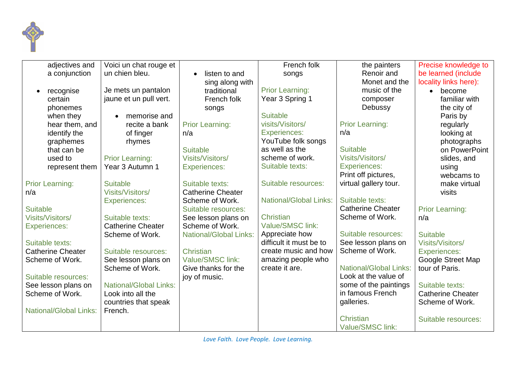

| adjectives and                | Voici un chat rouge et        |                               | French folk                   | the painters                         | Precise knowledge to     |
|-------------------------------|-------------------------------|-------------------------------|-------------------------------|--------------------------------------|--------------------------|
| a conjunction                 | un chien bleu.                | listen to and<br>$\bullet$    | songs                         | Renoir and                           | be learned (include      |
|                               |                               | sing along with               |                               | Monet and the                        | locality links here):    |
| recognise                     | Je mets un pantalon           | traditional                   | <b>Prior Learning:</b>        | music of the                         | become<br>$\bullet$      |
| certain                       | jaune et un pull vert.        | French folk                   | Year 3 Spring 1               | composer                             | familiar with            |
| phonemes                      |                               | songs                         |                               | Debussy                              | the city of              |
| when they                     | memorise and                  |                               | <b>Suitable</b>               |                                      | Paris by                 |
| hear them, and                | recite a bank                 | <b>Prior Learning:</b>        | visits/Visitors/              | <b>Prior Learning:</b>               | regularly                |
| identify the                  | of finger                     | n/a                           | <b>Experiences:</b>           | n/a                                  | looking at               |
| graphemes                     | rhymes                        |                               | YouTube folk songs            |                                      | photographs              |
| that can be                   |                               | <b>Suitable</b>               | as well as the                | <b>Suitable</b>                      | on PowerPoint            |
| used to                       | <b>Prior Learning:</b>        | <b>Visits/Visitors/</b>       | scheme of work.               | <b>Visits/Visitors/</b>              | slides, and              |
| represent them                | Year 3 Autumn 1               | <b>Experiences:</b>           | Suitable texts:               | <b>Experiences:</b>                  | using                    |
|                               |                               |                               |                               | Print off pictures,                  | webcams to               |
| <b>Prior Learning:</b>        | <b>Suitable</b>               | Suitable texts:               | Suitable resources:           | virtual gallery tour.                | make virtual             |
| n/a                           | Visits/Visitors/              | <b>Catherine Cheater</b>      |                               |                                      | visits                   |
|                               | <b>Experiences:</b>           | Scheme of Work.               | <b>National/Global Links:</b> | Suitable texts:                      |                          |
| <b>Suitable</b>               |                               | Suitable resources:           |                               | <b>Catherine Cheater</b>             | <b>Prior Learning:</b>   |
| <b>Visits/Visitors/</b>       | Suitable texts:               | See lesson plans on           | Christian                     | Scheme of Work.                      | n/a                      |
| <b>Experiences:</b>           | <b>Catherine Cheater</b>      | Scheme of Work.               | Value/SMSC link:              |                                      |                          |
|                               | Scheme of Work.               | <b>National/Global Links:</b> | Appreciate how                | Suitable resources:                  | <b>Suitable</b>          |
| Suitable texts:               |                               |                               | difficult it must be to       | See lesson plans on                  | <b>Visits/Visitors/</b>  |
| <b>Catherine Cheater</b>      | Suitable resources:           | Christian                     | create music and how          | Scheme of Work.                      | <b>Experiences:</b>      |
| Scheme of Work.               | See lesson plans on           | Value/SMSC link:              | amazing people who            |                                      | Google Street Map        |
|                               | Scheme of Work.               | Give thanks for the           | create it are.                | <b>National/Global Links:</b>        | tour of Paris.           |
| Suitable resources:           |                               | joy of music.                 |                               | Look at the value of                 |                          |
| See lesson plans on           | <b>National/Global Links:</b> |                               |                               | some of the paintings                | Suitable texts:          |
| Scheme of Work.               | Look into all the             |                               |                               | in famous French                     | <b>Catherine Cheater</b> |
|                               | countries that speak          |                               |                               | galleries.                           | Scheme of Work.          |
| <b>National/Global Links:</b> | French.                       |                               |                               |                                      |                          |
|                               |                               |                               |                               | Christian<br><b>Value/SMSC link:</b> | Suitable resources:      |